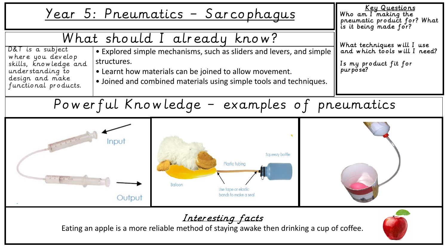

# Interesting facts

Eating an apple is a more reliable method of staying awake then drinking a cup of coffee.

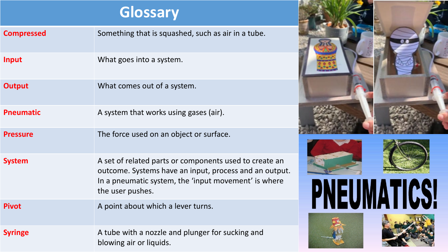# **Glossary**

|                   | ulussary                                                                                                                                                                                     |  |
|-------------------|----------------------------------------------------------------------------------------------------------------------------------------------------------------------------------------------|--|
| <b>Compressed</b> | Something that is squashed, such as air in a tube.                                                                                                                                           |  |
| <b>Input</b>      | What goes into a system.                                                                                                                                                                     |  |
| <b>Output</b>     | What comes out of a system.                                                                                                                                                                  |  |
| <b>Pneumatic</b>  | A system that works using gases (air).                                                                                                                                                       |  |
| <b>Pressure</b>   | The force used on an object or surface.                                                                                                                                                      |  |
| <b>System</b>     | A set of related parts or components used to create an<br>outcome. Systems have an input, process and an output.<br>In a pneumatic system, the 'input movement' is where<br>the user pushes. |  |
| <b>Pivot</b>      | A point about which a lever turns.                                                                                                                                                           |  |
| <b>Syringe</b>    | A tube with a nozzle and plunger for sucking and<br>blowing air or liquids.                                                                                                                  |  |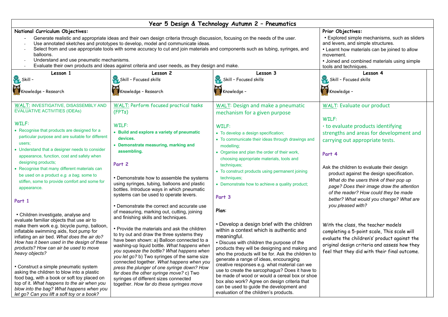| Year 5 Design & Technology Autumn 2 - Pneumatics                                          |                                                                                                                                                                                                                                                                                                                                                                                                                                                       |                                                                                                |                                                                                                                                                                                                                            |  |
|-------------------------------------------------------------------------------------------|-------------------------------------------------------------------------------------------------------------------------------------------------------------------------------------------------------------------------------------------------------------------------------------------------------------------------------------------------------------------------------------------------------------------------------------------------------|------------------------------------------------------------------------------------------------|----------------------------------------------------------------------------------------------------------------------------------------------------------------------------------------------------------------------------|--|
| National Curriculum Objectives:                                                           |                                                                                                                                                                                                                                                                                                                                                                                                                                                       |                                                                                                | Prior Objectives:                                                                                                                                                                                                          |  |
| balloons.<br>Understand and use pneumatic mechanisms.<br>$\blacksquare$                   | Generate realistic and appropriate ideas and their own design criteria through discussion, focusing on the needs of the user.<br>Use annotated sketches and prototypes to develop, model and communicate ideas.<br>Select from and use appropriate tools with some accuracy to cut and join materials and components such as tubing, syringes, and<br>Evaluate their own products and ideas against criteria and user needs, as they design and make. |                                                                                                | • Explored simple mechanisms, such as sliders<br>and levers, and simple structures.<br>• Learnt how materials can be joined to allow<br>movement.<br>• Joined and combined materials using simple<br>tools and techniques. |  |
| Lesson 1                                                                                  | Lesson 2                                                                                                                                                                                                                                                                                                                                                                                                                                              | Lesson 3                                                                                       | Lesson 4                                                                                                                                                                                                                   |  |
| Skill -                                                                                   | Skill - Focused skills                                                                                                                                                                                                                                                                                                                                                                                                                                | Skill - Focused skills                                                                         | Skill - Focused skills                                                                                                                                                                                                     |  |
| Knowledge - Research                                                                      | Knowledge - Research                                                                                                                                                                                                                                                                                                                                                                                                                                  | Knowledge -                                                                                    | Knowledge -                                                                                                                                                                                                                |  |
| <b>WALT: INVESTIGATIVE, DISASSEMBLY AND</b><br><b>EVALUATIVE ACTIVITIES (IDEAs)</b>       | <b>WALT: Perform focused practical tasks</b><br>(FPTs)                                                                                                                                                                                                                                                                                                                                                                                                | <b>WALT: Design and make a pneumatic</b><br>mechanism for a given purpose                      | <b>WALT: Evaluate our product</b>                                                                                                                                                                                          |  |
| WILF:                                                                                     |                                                                                                                                                                                                                                                                                                                                                                                                                                                       |                                                                                                | WILF:                                                                                                                                                                                                                      |  |
| • Recognise that products are designed for a                                              | WILF:                                                                                                                                                                                                                                                                                                                                                                                                                                                 | WILF:                                                                                          | · to evaluate products identifying                                                                                                                                                                                         |  |
| particular purpose and are suitable for different                                         | • Build and explore a variety of pneumatic<br>devices.                                                                                                                                                                                                                                                                                                                                                                                                | • To develop a design specification;                                                           | strengths and areas for development and                                                                                                                                                                                    |  |
| users;                                                                                    | • Demonstrate measuring, marking and                                                                                                                                                                                                                                                                                                                                                                                                                  | • To communicate their ideas through drawings and<br>modelling;                                | carrying out appropriate tests.                                                                                                                                                                                            |  |
| • Understand that a designer needs to consider                                            | assembling.                                                                                                                                                                                                                                                                                                                                                                                                                                           | • Organise and plan the order of their work,                                                   |                                                                                                                                                                                                                            |  |
| appearance, function, cost and safety when                                                |                                                                                                                                                                                                                                                                                                                                                                                                                                                       | choosing appropriate materials, tools and                                                      | Part 4                                                                                                                                                                                                                     |  |
| designing products;                                                                       | Part 2                                                                                                                                                                                                                                                                                                                                                                                                                                                | techniques;                                                                                    | Ask the children to evaluate their design                                                                                                                                                                                  |  |
| • Recognise that many different materials can                                             |                                                                                                                                                                                                                                                                                                                                                                                                                                                       | • To construct products using permanent joining                                                | product against the design specification.                                                                                                                                                                                  |  |
| be used on a product e.g. a bag, some to<br>stiffen, some to provide comfort and some for | • Demonstrate how to assemble the systems                                                                                                                                                                                                                                                                                                                                                                                                             | techniques;                                                                                    | What do the users think of their pop up                                                                                                                                                                                    |  |
| appearance.                                                                               | using syringes, tubing, balloons and plastic<br>bottles. Introduce ways in which pneumatic                                                                                                                                                                                                                                                                                                                                                            | • Demonstrate how to achieve a quality product;                                                | page? Does their image draw the attention                                                                                                                                                                                  |  |
| Part 1                                                                                    | systems can be used to operate levers.                                                                                                                                                                                                                                                                                                                                                                                                                | Part 3                                                                                         | of the reader? How could they be made<br>better? What would you change? What are                                                                                                                                           |  |
|                                                                                           | • Demonstrate the correct and accurate use                                                                                                                                                                                                                                                                                                                                                                                                            |                                                                                                | you pleased with?                                                                                                                                                                                                          |  |
| • Children investigate, analyse and                                                       | of measuring, marking out, cutting, joining<br>and finishing skills and techniques.                                                                                                                                                                                                                                                                                                                                                                   | Plan:                                                                                          |                                                                                                                                                                                                                            |  |
| evaluate familiar objects that use air to<br>make them work e.g. bicycle pump, balloon,   |                                                                                                                                                                                                                                                                                                                                                                                                                                                       | • Develop a design brief with the children                                                     | With the class, the teacher models                                                                                                                                                                                         |  |
| inflatable swimming aids, foot pump for                                                   | • Provide the materials and ask the children<br>to try out and draw the three systems they                                                                                                                                                                                                                                                                                                                                                            | within a context which is authentic and                                                        | completing a 5-point scale, This scale will                                                                                                                                                                                |  |
| inflating an air bed. What does the air do?                                               | have been shown: a) Balloon connected to a                                                                                                                                                                                                                                                                                                                                                                                                            | meaningful.                                                                                    | evaluate the children's' product against the                                                                                                                                                                               |  |
| How has it been used in the design of these<br>products? How can air be used to move      | washing-up liquid bottle. What happens when                                                                                                                                                                                                                                                                                                                                                                                                           | • Discuss with children the purpose of the<br>products they will be designing and making and   | original design criteria and assess how they                                                                                                                                                                               |  |
| heavy objects?                                                                            | you squeeze the bottle? What happens when<br>you let go? b) Two syringes of the same size                                                                                                                                                                                                                                                                                                                                                             | who the products will be for. Ask the children to                                              | feel that they did with their final outcome.                                                                                                                                                                               |  |
|                                                                                           | connected together. What happens when you                                                                                                                                                                                                                                                                                                                                                                                                             | generate a range of ideas, encouraging                                                         |                                                                                                                                                                                                                            |  |
| • Construct a simple pneumatic system                                                     | press the plunger of one syringe down? How                                                                                                                                                                                                                                                                                                                                                                                                            | creative responses e.g. what material can we<br>use to create the sarcophagus? Does it have to |                                                                                                                                                                                                                            |  |
| asking the children to blow into a plastic<br>food bag, with a book or soft toy placed on | far does the other syringe move? c) Two<br>syringes of different sizes connected                                                                                                                                                                                                                                                                                                                                                                      | be made of wood or would a cereal box or shoe                                                  |                                                                                                                                                                                                                            |  |
| top of it. What happens to the air when you                                               | together. How far do these syringes move                                                                                                                                                                                                                                                                                                                                                                                                              | box also work? Agree on design criteria that                                                   |                                                                                                                                                                                                                            |  |
| blow into the bag? What happens when you                                                  |                                                                                                                                                                                                                                                                                                                                                                                                                                                       | can be used to guide the development and<br>evaluation of the children's products.             |                                                                                                                                                                                                                            |  |
| let go? Can you lift a soft toy or a book?                                                |                                                                                                                                                                                                                                                                                                                                                                                                                                                       |                                                                                                |                                                                                                                                                                                                                            |  |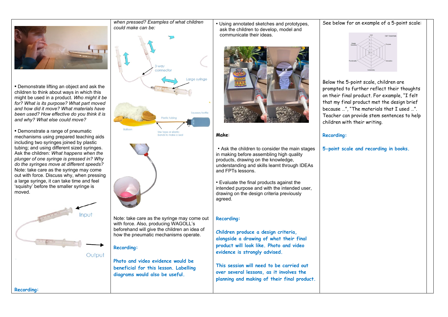

**•** Demonstrate lifting an object and ask the children to think about ways in which this might be used in a product. *Who might it be for? What is its purpose? What part moved and how did it move? What materials have been used? How effective do you think it is and why? What else could move?*

**•** Demonstrate a range of pneumatic mechanisms using prepared teaching aids including two syringes joined by plastic tubing; and using different sized syringes. Ask the children: *What happens when the plunger of one syringe is pressed in? Why do the syringes move at different speeds?*  Note: take care as the syringe may come out with force. Discuss why, when pressing a large syringe, it can take time and feel 'squishy' before the smaller syringe is moved.



*when pressed? Examples of what children could make can be:*



Note: take care as the syringe may come out with force. Also, producing WAGOLL's beforehand will give the children an idea of how the pneumatic mechanisms operate.

**Photo and video evidence would be beneficial for this lesson. Labelling diagrams would also be useful.**

**Recording:**

• Using annotated sketches and prototypes, ask the children to develop, model and communicate their ideas.



**Make**:

• Ask the children to consider the main stages in making before assembling high quality products, drawing on the knowledge, understanding and skills learnt through IDEAs and FPTs lessons.

• Evaluate the final products against the intended purpose and with the intended user, drawing on the design criteria previously agreed.

### **Recording:**

**Children produce a design criteria, alongside a drawing of what their final product will look like. Photo and video evidence is strongly advised.**

**This session will need to be carried out over several lessons, as it involves the planning and making of their final product.**

# See below for an example of a 5-point scale:



Below the 5-point scale, children are prompted to further reflect their thoughts on their final product. For example, "I felt that my final product met the design brief because …", "The materials that I used …". Teacher can provide stem sentences to help children with their writing.

### **Recording:**

## **5-point scale and recording in books.**